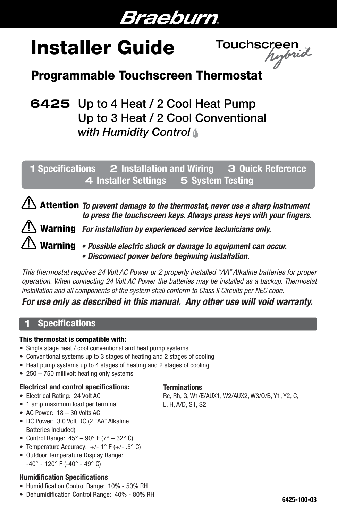# Braeburn.

# Installer Guide Touchscreen

## Programmable Touchscreen Thermostat

## 6425 Up to 4 Heat / 2 Cool Heat Pump Up to 3 Heat / 2 Cool Conventional *with Humidity Control*

## 1 Specifications 2 Installation and Wiring 3 Quick Reference 4 Installer Settings 5 System Testing

Attention To prevent damage to the thermostat, never use a sharp instrument *to press the touchscreen keys. Always press keys with your fingers.*

Warning *For installation by experienced service technicians only.*

*• Possible electric shock or damage to equipment can occur.* Warning *• Disconnect power before beginning installation.*

*This thermostat requires 24 Volt AC Power or 2 properly installed "AA" Alkaline batteries for proper operation. When connecting 24 Volt AC Power the batteries may be installed as a backup. Thermostat installation and all components of the system shall conform to Class II Circuits per NEC code.*

### *For use only as described in this manual. Any other use will void warranty.*

## **Specifications**

í

#### This thermostat is compatible with:

- Single stage heat / cool conventional and heat pump systems
- Conventional systems up to 3 stages of heating and 2 stages of cooling
- Heat pump systems up to 4 stages of heating and 2 stages of cooling
- 250 750 millivolt heating only systems

#### Electrical and control specifications:

- Electrical Rating: 24 Volt AC
- 1 amp maximum load per terminal
- AC Power: 18 30 Volts AC
- DC Power: 3.0 Volt DC (2 "AA" Alkaline Batteries Included)
- Control Range:  $45^{\circ} 90^{\circ}$  F ( $7^{\circ} 32^{\circ}$  C)
- Temperature Accuracy:  $+/- 1$ ° F ( $+/- .5$ °C)
- Outdoor Temperature Display Range:  $-40^{\circ}$  - 120° F (-40° - 49° C)

#### Humidification Specifications

- Humidification Control Range: 10% 50% RH
- Dehumidification Control Range: 40% 80% RH

#### **Terminations**

Rc, Rh, G, W1/E/AUX1, W2/AUX2, W3/O/B, Y1, Y2, C, L, H, A/D, S1, S2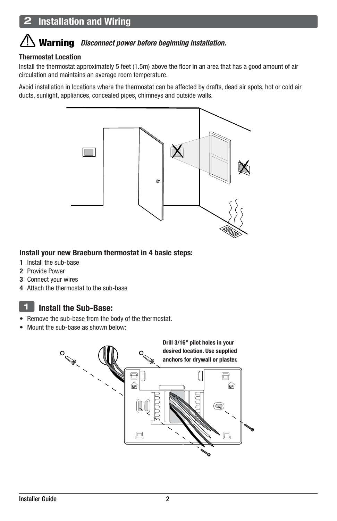## **Installation and Wiring**

#### $\overline{a}$ Warning *Disconnect power before beginning installation.*

#### Thermostat Location

Install the thermostat approximately 5 feet (1.5m) above the floor in an area that has a good amount of air circulation and maintains an average room temperature.

Avoid installation in locations where the thermostat can be affected by drafts, dead air spots, hot or cold air ducts, sunlight, appliances, concealed pipes, chimneys and outside walls.



#### Install your new Braeburn thermostat in 4 basic steps:

- 1 Install the sub-base
- 2 Provide Power
- 3 Connect your wires
- 4 Attach the thermostat to the sub-base

#### Install the Sub-Base: 1

- Remove the sub-base from the body of the thermostat.
- Mount the sub-base as shown below:

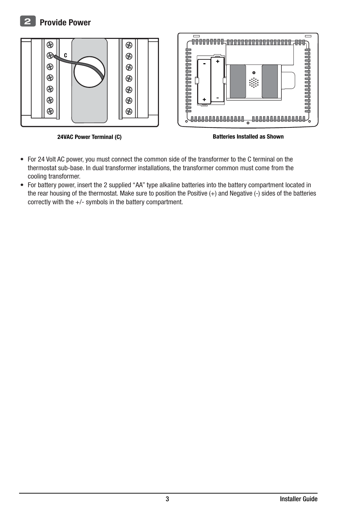#### Provide Power  $\mathbf{P}$



24VAC Power Terminal (C) and the State of Batteries Installed as Shown

- For 24 Volt AC power, you must connect the common side of the transformer to the C terminal on the thermostat sub-base. In dual transformer installations, the transformer common must come from the cooling transformer.
- For battery power, insert the 2 supplied "AA" type alkaline batteries into the battery compartment located in the rear housing of the thermostat. Make sure to position the Positive (+) and Negative (-) sides of the batteries correctly with the +/- symbols in the battery compartment.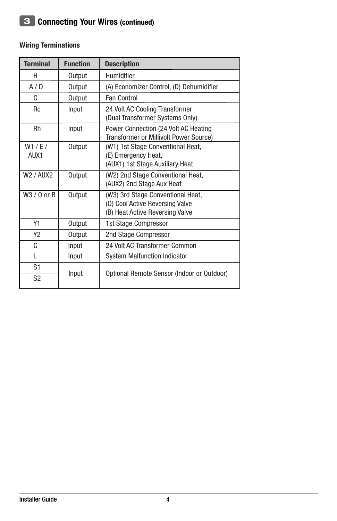#### Wiring Terminations

| <b>Terminal</b>                   | <b>Function</b> | <b>Description</b>                                                                                      |
|-----------------------------------|-----------------|---------------------------------------------------------------------------------------------------------|
| н                                 | Output          | Humidifier                                                                                              |
| A/D                               | Output          | (A) Economizer Control, (D) Dehumidifier                                                                |
| G                                 | Output          | <b>Fan Control</b>                                                                                      |
| <b>Rc</b>                         | Input           | 24 Volt AC Cooling Transformer<br>(Dual Transformer Systems Only)                                       |
| Rh                                | Input           | Power Connection (24 Volt AC Heating<br><b>Transformer or Millivolt Power Source)</b>                   |
| W1 / E/<br>AUX1                   | Output          | (W1) 1st Stage Conventional Heat,<br>(E) Emergency Heat,<br>(AUX1) 1st Stage Auxiliary Heat             |
| W <sub>2</sub> / AUX <sub>2</sub> | Output          | (W2) 2nd Stage Conventional Heat,<br>(AUX2) 2nd Stage Aux Heat                                          |
| $W3/0$ or B                       | Output          | (W3) 3rd Stage Conventional Heat,<br>(0) Cool Active Reversing Valve<br>(B) Heat Active Reversing Valve |
| Y1                                | Output          | 1st Stage Compressor                                                                                    |
| Y2                                | Output          | 2nd Stage Compressor                                                                                    |
| C                                 | Input           | 24 Volt AC Transformer Common                                                                           |
| L                                 | Input           | <b>System Malfunction Indicator</b>                                                                     |
| S <sub>1</sub><br>S <sub>2</sub>  | Input           | Optional Remote Sensor (Indoor or Outdoor)                                                              |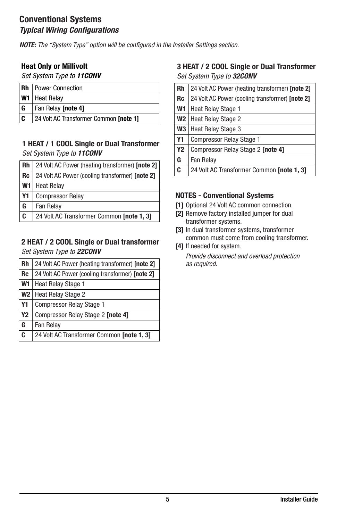#### Conventional Systems *Typical Wiring Configurations*

*NOTE: The "System Type" option will be configured in the Installer Settings section.* 

#### Heat Only or Millivolt

*Set System Type to 11CONV*

| ∣Rh | Power Connection                       |  |
|-----|----------------------------------------|--|
|     | <b>W1</b> Heat Relay                   |  |
| l G | Fan Relay <b>[note 4]</b>              |  |
| l C | 24 Volt AC Transformer Common [note 1] |  |

#### 1 HEAT / 1 COOL Single or Dual Transformer *Set System Type to 11CONV*

| Rh             | 24 Volt AC Power (heating transformer) [note 2] |  |
|----------------|-------------------------------------------------|--|
| <b>Rc</b>      | 24 Volt AC Power (cooling transformer) [note 2] |  |
| W <sub>1</sub> | <b>Heat Relay</b>                               |  |
| <b>Y1</b>      | <b>Compressor Relay</b>                         |  |
| G              | Fan Relay                                       |  |
| C              | 24 Volt AC Transformer Common [note 1, 3]       |  |

#### 2 HEAT / 2 COOL Single or Dual transformer *Set System Type to 22CONV*

| Rh        | 24 Volt AC Power (heating transformer) [note 2] |  |
|-----------|-------------------------------------------------|--|
| <b>Rc</b> | 24 Volt AC Power (cooling transformer) [note 2] |  |
| W1        | <b>Heat Relay Stage 1</b>                       |  |
| W2        | <b>Heat Relay Stage 2</b>                       |  |
| Y1        | <b>Compressor Relay Stage 1</b>                 |  |
| <b>Y2</b> | Compressor Relay Stage 2 [note 4]               |  |
| G         | Fan Relay                                       |  |
| C         | 24 Volt AC Transformer Common [note 1, 3]       |  |

#### 3 HEAT / 2 COOL Single or Dual Transformer *Set System Type to 32CONV*

| 24 Volt AC Power (heating transformer) [note 2] |  |
|-------------------------------------------------|--|
| 24 Volt AC Power (cooling transformer) [note 2] |  |
| <b>Heat Relay Stage 1</b>                       |  |
| W <sub>2</sub>   Heat Relay Stage 2             |  |
| <b>Heat Relay Stage 3</b>                       |  |
| <b>Compressor Relay Stage 1</b>                 |  |
| Compressor Relay Stage 2 [note 4]               |  |
| Fan Relay                                       |  |
| 24 Volt AC Transformer Common [note 1, 3]       |  |
|                                                 |  |

#### NOTES - Conventional Systems

- [1] Optional 24 Volt AC common connection.
- [2] Remove factory installed jumper for dual transformer systems.
- [3] In dual transformer systems, transformer common must come from cooling transformer.
- [4] If needed for system. *Provide disconnect and overload protection as required.*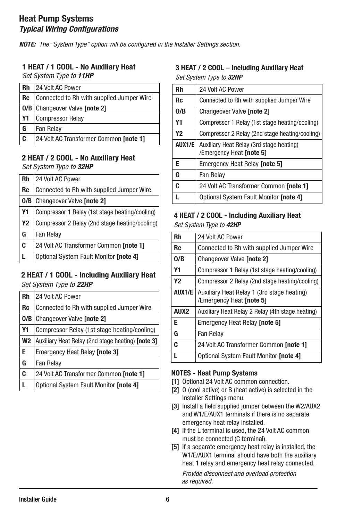#### Heat Pump Systems *Typical Wiring Configurations*

*NOTE: The "System Type" option will be configured in the Installer Settings section.* 

#### 1 HEAT / 1 COOL - No Auxiliary Heat

*Set System Type to 11HP*

| Rh        | 24 Volt AC Power                          |  |
|-----------|-------------------------------------------|--|
| <b>Rc</b> | Connected to Rh with supplied Jumper Wire |  |
|           | <b>0/B</b> Changeover Valve [note 2]      |  |
| <b>Y1</b> | <b>Compressor Relay</b>                   |  |
| G         | Fan Relav                                 |  |
| C         | 24 Volt AC Transformer Common [note 1]    |  |

## 2 HEAT / 2 COOL - No Auxiliary Heat

*Set System Type to 32HP*

| <b>Rh</b>      | 24 Volt AC Power                               |  |
|----------------|------------------------------------------------|--|
| <b>Rc</b>      | Connected to Rh with supplied Jumper Wire      |  |
| 0/B            | Changeover Valve [note 2]                      |  |
| Y1             | Compressor 1 Relay (1st stage heating/cooling) |  |
| Y <sub>2</sub> | Compressor 2 Relay (2nd stage heating/cooling) |  |
| G              | Fan Relay                                      |  |
| C              | 24 Volt AC Transformer Common [note 1]         |  |
|                | Optional System Fault Monitor [note 4]         |  |

## 2 HEAT / 1 COOL - Including Auxiliary Heat

*Set System Type to 22HP*

| Rh   | 24 Volt AC Power                                  |  |
|------|---------------------------------------------------|--|
| Rc   | Connected to Rh with supplied Jumper Wire         |  |
| 0/B  | Changeover Valve [note 2]                         |  |
| Y1   | Compressor Relay (1st stage heating/cooling)      |  |
| W2 I | Auxiliary Heat Relay (2nd stage heating) [note 3] |  |
| Е    | <b>Emergency Heat Relay [note 3]</b>              |  |
| G    | Fan Relay                                         |  |
| C    | 24 Volt AC Transformer Common [note 1]            |  |
|      | Optional System Fault Monitor [note 4]            |  |

#### 3 HEAT / 2 COOL – Including Auxiliary Heat *Set System Type to 32HP*

| Rh     | 24 Volt AC Power                                                     |  |
|--------|----------------------------------------------------------------------|--|
| Rc     | Connected to Rh with supplied Jumper Wire                            |  |
| 0/B    | Changeover Valve [note 2]                                            |  |
| Υ1     | Compressor 1 Relay (1st stage heating/cooling)                       |  |
| Υ2     | Compressor 2 Relay (2nd stage heating/cooling)                       |  |
| AUX1/E | Auxiliary Heat Relay (3rd stage heating)<br>/Emergency Heat [note 5] |  |
| Е      | <b>Emergency Heat Relay [note 5]</b>                                 |  |
| G      | Fan Relay                                                            |  |
| C      | 24 Volt AC Transformer Common [note 1]                               |  |
|        | Optional System Fault Monitor [note 4]                               |  |

#### 4 HEAT / 2 COOL - Including Auxiliary Heat *Set System Type to 42HP*

| Rh               | 24 Volt AC Power                                                       |  |
|------------------|------------------------------------------------------------------------|--|
| Rc               | Connected to Rh with supplied Jumper Wire                              |  |
| 0/B              | Changeover Valve [note 2]                                              |  |
| Υ1               | Compressor 1 Relay (1st stage heating/cooling)                         |  |
| Υ2               | Compressor 2 Relay (2nd stage heating/cooling)                         |  |
| AUX1/E           | Auxiliary Heat Relay 1 (3rd stage heating)<br>/Emergency Heat [note 5] |  |
| AUX <sub>2</sub> | Auxiliary Heat Relay 2 Relay (4th stage heating)                       |  |
| E                | Emergency Heat Relay [note 5]                                          |  |
| G                | Fan Relay                                                              |  |
| C                | 24 Volt AC Transformer Common [note 1]                                 |  |
|                  | Optional System Fault Monitor [note 4]                                 |  |

#### NOTES - Heat Pump Systems

- [1] Optional 24 Volt AC common connection.
- [2] O (cool active) or B (heat active) is selected in the Installer Settings menu.
- [3] Install a field supplied jumper between the W2/AUX2 and W1/E/AUX1 terminals if there is no separate emergency heat relay installed.
- [4] If the L terminal is used, the 24 Volt AC common must be connected (C terminal).
- [5] If a separate emergency heat relay is installed, the W1/E/AUX1 terminal should have both the auxiliary heat 1 relay and emergency heat relay connected.

*Provide disconnect and overload protection as required.*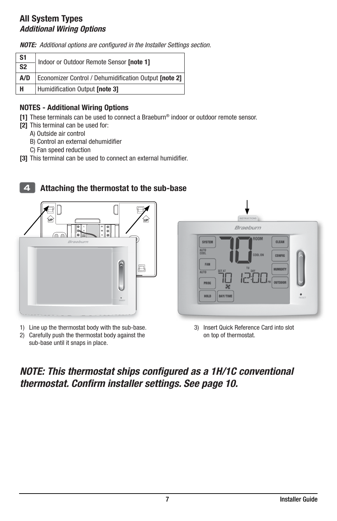#### All System Types *Additional Wiring Options*

*NOTE: Additional options are configured in the Installer Settings section.*

| $rac{S1}{S2}$ | Indoor or Outdoor Remote Sensor [note 1]              |
|---------------|-------------------------------------------------------|
|               |                                                       |
| A/D           | Economizer Control / Dehumidification Output [note 2] |
| H             | Humidification Output [note 3]                        |

#### NOTES - Additional Wiring Options

[1] These terminals can be used to connect a Braeburn® indoor or outdoor remote sensor.

- [2] This terminal can be used for:
	- A) Outside air control
	- B) Control an external dehumidifier
	- C) Fan speed reduction
- [3] This terminal can be used to connect an external humidifier.

# UP UP V UP S2 G C /AUX1 4 Attaching the thermostat to the sub-base

- 1) Line up the thermostat body with the sub-base.
- 2) Carefully push the thermostat body against the sub-base until it snaps in place.



<sup>3)</sup> Insert Quick Reference Card into slot on top of thermostat.

## *NOTE: This thermostat ships configured as a 1H/1C conventional thermostat. Confirm installer settings. See page 10.*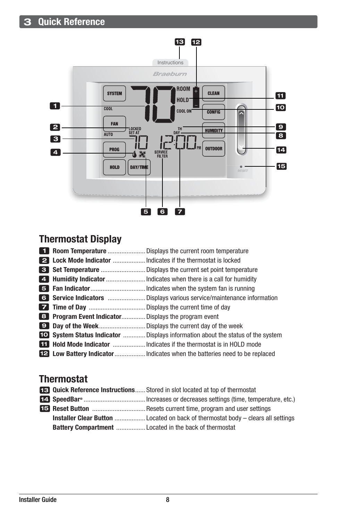

## Thermostat Display

|  | <b>1 Room Temperature</b> Displays the current room temperature                        |
|--|----------------------------------------------------------------------------------------|
|  |                                                                                        |
|  |                                                                                        |
|  |                                                                                        |
|  |                                                                                        |
|  |                                                                                        |
|  |                                                                                        |
|  | <b>8</b> Program Event Indicator Displays the program event                            |
|  |                                                                                        |
|  | <b>IO</b> System Status Indicator  Displays information about the status of the system |
|  |                                                                                        |
|  |                                                                                        |

## **Thermostat**

|  | <b>ES</b> Quick Reference Instructions Stored in slot located at top of thermostat     |
|--|----------------------------------------------------------------------------------------|
|  |                                                                                        |
|  |                                                                                        |
|  | <b>Installer Clear Button</b> Located on back of thermostat body – clears all settings |
|  |                                                                                        |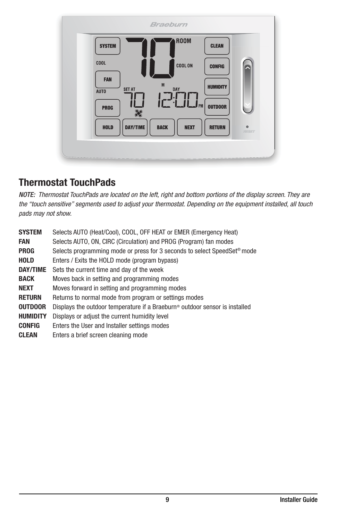

## Thermostat TouchPads

*NOTE: Thermostat TouchPads are located on the left, right and bottom portions of the display screen. They are the "touch sensitive" segments used to adjust your thermostat. Depending on the equipment installed, all touch pads may not show.*

| <b>SYSTEM</b><br>FAN | Selects AUTO (Heat/Cool), COOL, OFF HEAT or EMER (Emergency Heat)<br>Selects AUTO, ON, CIRC (Circulation) and PROG (Program) fan modes |
|----------------------|----------------------------------------------------------------------------------------------------------------------------------------|
| <b>PROG</b>          | Selects programming mode or press for 3 seconds to select SpeedSet <sup>®</sup> mode                                                   |
| <b>HOLD</b>          | Enters / Exits the HOLD mode (program bypass)                                                                                          |
| DAY/TIME             | Sets the current time and day of the week                                                                                              |
| <b>BACK</b>          | Moves back in setting and programming modes                                                                                            |
| <b>NEXT</b>          | Moves forward in setting and programming modes                                                                                         |
| <b>RETURN</b>        | Returns to normal mode from program or settings modes                                                                                  |
| <b>OUTDOOR</b>       | Displays the outdoor temperature if a Braeburn <sup>®</sup> outdoor sensor is installed                                                |
| <b>HUMIDITY</b>      | Displays or adjust the current humidity level                                                                                          |
| <b>CONFIG</b>        | Enters the User and Installer settings modes                                                                                           |
| <b>CLEAN</b>         | Enters a brief screen cleaning mode                                                                                                    |
|                      |                                                                                                                                        |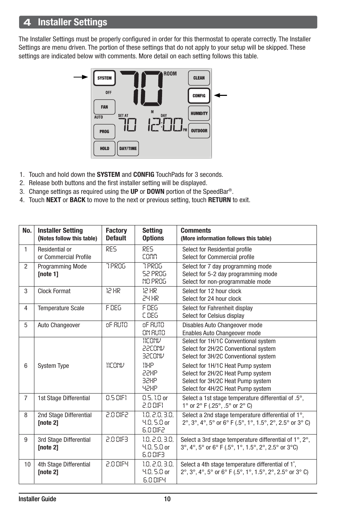## **Installer Settings**

The Installer Settings must be properly configured in order for this thermostat to operate correctly. The Installer Settings are menu driven. The portion of these settings that do not apply to your setup will be skipped. These settings are indicated below with comments. More detail on each setting follows this table.



- 1. Touch and hold down the SYSTEM and CONFIG TouchPads for 3 seconds.
- 2. Release both buttons and the first installer setting will be displayed.
- 3. Change settings as required using the UP or DOWN portion of the SpeedBar®.
- 4. Touch NEXT or BACK to move to the next or previous setting, touch RETURN to exit.

| No.            | <b>Installer Setting</b><br>(Notes follow this table) | <b>Factory</b><br><b>Default</b> | <b>Setting</b><br><b>Options</b>                   | <b>Comments</b><br>(More information follows this table)                                                                                         |
|----------------|-------------------------------------------------------|----------------------------------|----------------------------------------------------|--------------------------------------------------------------------------------------------------------------------------------------------------|
| $\mathbf{1}$   | Residential or<br>or Commercial Profile               | RES                              | RES<br>comm                                        | Select for Residential profile<br>Select for Commercial profile                                                                                  |
| 2              | <b>Programming Mode</b><br>[note 1]                   | <b>7PR06</b>                     | 7 PROG<br><b>S2 PROG</b><br><b>NO PROG</b>         | Select for 7 day programming mode<br>Select for 5-2 day programming mode<br>Select for non-programmable mode                                     |
| 3              | <b>Clock Format</b>                                   | 15 HK                            | 12 HR<br><b>SA HB</b>                              | Select for 12 hour clock<br>Select for 24 hour clock                                                                                             |
| 4              | <b>Temperature Scale</b>                              | F 086                            | F 086<br>C DEG                                     | Select for Fahrenheit display<br>Select for Celsius display                                                                                      |
| 5              | Auto Changeover                                       | oF RUTO                          | oF RUTO<br>ON RUTO                                 | Disables Auto Changeover mode<br>Enables Auto Changeover mode                                                                                    |
|                |                                                       |                                  | 11CONV<br>22CONV<br>32CONV                         | Select for 1H/1C Conventional system<br>Select for 2H/2C Conventional system<br>Select for 3H/2C Conventional system                             |
| 6              | <b>System Type</b>                                    | <b>WEANU</b>                     | 11HP<br>22HP<br>32HP<br>42HP                       | Select for 1H/1C Heat Pump system<br>Select for 2H/2C Heat Pump system<br>Select for 3H/2C Heat Pump system<br>Select for 4H/2C Heat Pump system |
| $\overline{7}$ | 1st Stage Differential                                | 0.5 DIFT                         | $0.5.10$ or<br>2.0 DIF1                            | Select a 1st stage temperature differential of .5°,<br>1° or 2° F (.25°, .5° or 2° C)                                                            |
| 8              | 2nd Stage Differential<br><b>Inote 21</b>             | 530 DIF2                         | 1.0, 2.0, 3.0,<br>$4.0, 5.0$ or<br>6.0 DIF2        | Select a 2nd stage temperature differential of 1°,<br>2°, 3°, 4°, 5° or 6° F (.5°, 1°, 1.5°, 2°, 2.5° or 3° C)                                   |
| 9              | 3rd Stage Differential<br>[note 2]                    | 2.0 0183                         | 1.0, 2.0, 3.0,<br>4.0, 5.0 or<br>6.0 DIF3          | Select a 3rd stage temperature differential of 1°, 2°,<br>3°, 4°, 5° or 6° F (.5°, 1°, 1.5°, 2°, 2.5° or 3°C)                                    |
| 10             | 4th Stage Differential<br>[note 2]                    | 2.0 DIEY                         | 1.0, 2.0, 3.0,<br>$4.0, 5.0$ or<br><b>6.0 DIFY</b> | Select a 4th stage temperature differential of 1°.<br>2°, 3°, 4°, 5° or 6° F (.5°, 1°, 1.5°, 2°, 2.5° or 3° C)                                   |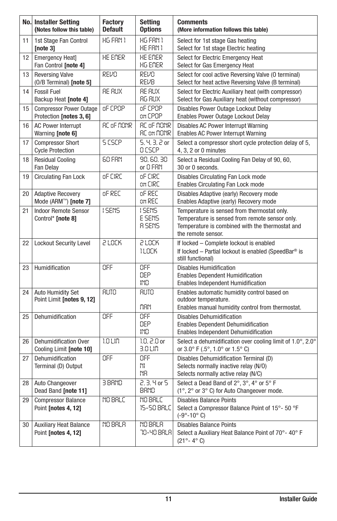|                 | <b>No. Installer Setting</b><br>(Notes follow this table)     | <b>Factory</b><br><b>Default</b> | <b>Setting</b><br><b>Options</b> | <b>Comments</b><br>(More information follows this table)                                                                                                               |  |
|-----------------|---------------------------------------------------------------|----------------------------------|----------------------------------|------------------------------------------------------------------------------------------------------------------------------------------------------------------------|--|
| 11              | 1st Stage Fan Control<br>[note $3$ ]                          | HG FRN 1                         | HG FAN 1<br>HE FAN 1             | Select for 1st stage Gas heating<br>Select for 1st stage Electric heating                                                                                              |  |
| 12 <sup>2</sup> | <b>Emergency Heatl</b><br>Fan Control [note 4]                | HE EMER                          | HE EMER<br>HG EMER               | Select for Electric Emergency Heat<br>Select for Gas Emergency Heat                                                                                                    |  |
| 13              | <b>Reversing Valve</b><br>(0/B Terminal) [note 5]             | REVO                             | REVO<br>REVB                     | Select for cool active Reversing Valve (O terminal)<br>Select for heat active Reversing Valve (B terminal)                                                             |  |
| 14              | <b>Fossil Fuel</b><br>Backup Heat [note 4]                    | RE RUX                           | RE RUX<br>RG RUX                 | Select for Electric Auxiliary heat (with compressor)<br>Select for Gas Auxiliary heat (without compressor)                                                             |  |
| 15              | <b>Compressor Power Outage</b><br>Protection [notes 3, 6]     | oF CPOP                          | oF CPOP<br>on CPOP               | Disables Power Outage Lockout Delay<br>Enables Power Outage Lockout Delay                                                                                              |  |
| 16              | <b>AC Power Interrupt</b><br>Warning [note 6]                 | AC oF MONR                       | AC oF MONR<br><b>RC on NONR</b>  | Disables AC Power Interrupt Warning<br>Enables AC Power Interrupt Warning                                                                                              |  |
| 17              | <b>Compressor Short</b><br><b>Cycle Protection</b>            | S CSCP                           | 5, 4, 3, 2 or<br>O CSCP.         | Select a compressor short cycle protection delay of 5,<br>4, 3, 2 or 0 minutes                                                                                         |  |
| 18              | <b>Residual Cooling</b><br>Fan Delay                          | <b>60 FRN</b>                    | 90, 60, 30<br>or C FRN           | Select a Residual Cooling Fan Delay of 90, 60,<br>30 or 0 seconds.                                                                                                     |  |
| 19              | <b>Circulating Fan Lock</b>                                   | oF CIRC                          | oF CIRC<br>on CIRC               | Disables Circulating Fan Lock mode<br>Enables Circulating Fan Lock mode                                                                                                |  |
| 20              | <b>Adaptive Recovery</b><br>Mode (ARM <sup>™</sup> ) [note 7] | of REC                           | oF REC<br>on REC                 | Disables Adaptive (early) Recovery mode<br>Enables Adaptive (early) Recovery mode                                                                                      |  |
| 21              | <b>Indoor Remote Sensor</b><br>Control* [note 8]              | <b>ISENS</b>                     | <b>ISENS</b><br>E SENS<br>R SENS | Temperature is sensed from thermostat only.<br>Temperature is sensed from remote sensor only.<br>Temperature is combined with the thermostat and<br>the remote sensor. |  |
| 22              | <b>Lockout Security Level</b>                                 | 5 FOCK                           | 5 FOCK<br>ILOCK                  | If locked - Complete lockout is enabled<br>If locked - Partial lockout is enabled (SpeedBar® is<br>still functional)                                                   |  |
| 23              | Humidification                                                | OFF                              | OFF<br>DEP.<br>IND.              | <b>Disables Humidification</b><br><b>Enables Dependent Humidification</b><br><b>Enables Independent Humidification</b>                                                 |  |
| 24              | Auto Humidity Set<br>Point Limit [notes 9, 12]                | <b>RUTO</b>                      | <b>RUTO</b><br>MRN               | Enables automatic humidity control based on<br>outdoor temperature.<br>Enables manual humidity control from thermostat.                                                |  |
| 25              | Dehumidification                                              | OFF                              | OFF<br>DEP.<br>IND.              | <b>Disables Dehumidification</b><br><b>Enables Dependent Dehumidification</b><br>Enables Independent Dehumidification                                                  |  |
| 26              | <b>Dehumidification Over</b><br>Cooling Limit [note 10]       | 1.0 LIN                          | $1.0, 2.0$ or<br>3.0 LIN         | Select a dehumidification over cooling limit of 1.0°, 2.0°<br>or 3.0° F (.5°, 1.0° or 1.5° C)                                                                          |  |
| 27              | Dehumidification<br>Terminal (D) Output                       | OFF                              | OFF<br>NI.<br>N8.                | Disables Dehumidification Terminal (D)<br>Selects normally inactive relay (N/O)<br>Selects normally active relay (N/C)                                                 |  |
| 28              | Auto Changeover<br>Dead Band [note 11]                        | 3 BRND                           | 2.3. 4 or 5<br><b>BAND</b>       | Select a Dead Band of 2°, 3°, 4° or 5° F<br>(1°, 2° or 3° C) for Auto Changeover mode.                                                                                 |  |
| 29              | <b>Compressor Balance</b><br>Point [notes 4, 12]              | NO BRLC                          | NO BRLC<br>15-50 BRLC            | <b>Disables Balance Points</b><br>Select a Compressor Balance Point of 15°- 50 °F<br>$(-9^{\circ} - 10^{\circ} \text{ C})$                                             |  |
| 30              | <b>Auxiliary Heat Balance</b><br>Point [notes 4, 12]          | <b>MO 88L8</b>                   | NO BRLA<br>70-40 BRLR            | <b>Disables Balance Points</b><br>Select a Auxiliary Heat Balance Point of 70°-40° F<br>$(21^{\circ} - 4^{\circ} C)$                                                   |  |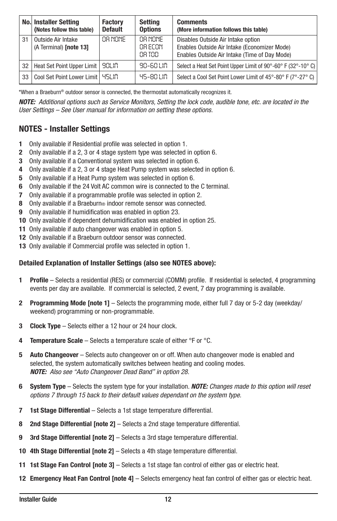|    | <b>No. Installer Setting</b><br>(Notes follow this table) | <b>Factory</b><br><b>Default</b> | Setting<br><b>Options</b>     | <b>Comments</b><br>(More information follows this table)                                                                            |
|----|-----------------------------------------------------------|----------------------------------|-------------------------------|-------------------------------------------------------------------------------------------------------------------------------------|
| 31 | Outside Air Intake<br>(A Terminal) [note 13]              | OR NONE                          | OB NONE<br>OB FOON<br>OR TOD. | Disables Outside Air Intake option<br>Enables Outside Air Intake (Economizer Mode)<br>Enables Outside Air Intake (Time of Day Mode) |
| 32 | Heat Set Point Upper Limit                                | 90LIN                            | 90-60 LIN                     | Select a Heat Set Point Upper Limit of 90°-60° F (32°-10° C)                                                                        |
| 33 | Cool Set Point Lower Limit   45LIN                        |                                  | 45-80 LIN                     | Select a Cool Set Point Lower Limit of 45°-80° F (7°-27° C)                                                                         |

\*When a Braeburn® outdoor sensor is connected, the thermostat automatically recognizes it.

*NOTE: Additional options such as Service Monitors, Setting the lock code, audible tone, etc. are located in the User Settings – See User manual for information on setting these options.*

#### NOTES - Installer Settings

- 1 Only available if Residential profile was selected in option 1.
- 2 Only available if a 2, 3 or 4 stage system type was selected in option 6.
- 3 Only available if a Conventional system was selected in option 6.
- 4 Only available if a 2, 3 or 4 stage Heat Pump system was selected in option 6.
- 5 Only available if a Heat Pump system was selected in option 6.
- 6 Only available if the 24 Volt AC common wire is connected to the C terminal.
- 7 Only available if a programmable profile was selected in option 2.
- 8 Only available if a Braeburn<sup>®</sup> indoor remote sensor was connected.
- 9 Only available if humidification was enabled in option 23.
- 10 Only available if dependent dehumidification was enabled in option 25.
- 11 Only available if auto changeover was enabled in option 5.
- 12 Only available if a Braeburn outdoor sensor was connected.
- 13 Only available if Commercial profile was selected in option 1.

#### Detailed Explanation of Installer Settings (also see NOTES above):

- 1 Profile Selects a residential (RES) or commercial (COMM) profile. If residential is selected, 4 programming events per day are available. If commercial is selected, 2 event, 7 day programming is available.
- 2 Programming Mode [note 1] Selects the programming mode, either full 7 day or 5-2 day (weekday/ weekend) programming or non-programmable.
- **3** Clock Type Selects either a 12 hour or 24 hour clock.
- **4** Temperature Scale Selects a temperature scale of either  $\textdegree$ F or  $\textdegree$ C.
- 5 Auto Changeover Selects auto changeover on or off. When auto changeover mode is enabled and selected, the system automatically switches between heating and cooling modes. *NOTE: Also see "Auto Changeover Dead Band" in option 28.*
- 6 System Type Selects the system type for your installation. *NOTE: Changes made to this option will reset options 7 through 15 back to their default values dependant on the system type.*
- 7 1st Stage Differential Selects a 1st stage temperature differential.
- 8 2nd Stage Differential [note 2] Selects a 2nd stage temperature differential.
- 9 3rd Stage Differential [note 2] Selects a 3rd stage temperature differential.
- 10 4th Stage Differential [note 2] Selects a 4th stage temperature differential.
- 11 1st Stage Fan Control [note 3] Selects a 1st stage fan control of either gas or electric heat.
- 12 Emergency Heat Fan Control [note 4] Selects emergency heat fan control of either gas or electric heat.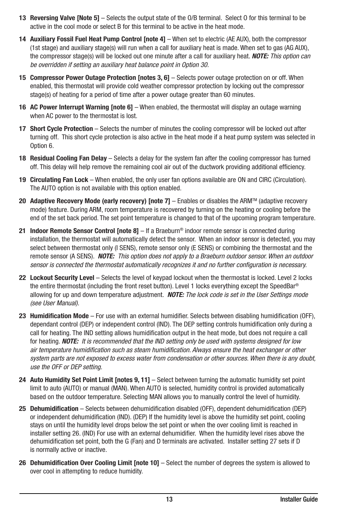- 13 Reversing Valve [Note 5] Selects the output state of the O/B terminal. Select O for this terminal to be active in the cool mode or select B for this terminal to be active in the heat mode.
- 14 Auxiliary Fossil Fuel Heat Pump Control [note 4] When set to electric (AE AUX), both the compressor (1st stage) and auxiliary stage(s) will run when a call for auxiliary heat is made. When set to gas (AG AUX), the compressor stage(s) will be locked out one minute after a call for auxiliary heat. *NOTE: This option can be overridden if setting an auxiliary heat balance point in Option 30.*
- 15 Compressor Power Outage Protection [notes 3, 6] Selects power outage protection on or off. When enabled, this thermostat will provide cold weather compressor protection by locking out the compressor stage(s) of heating for a period of time after a power outage greater than 60 minutes.
- 16 AC Power Interrupt Warning Inote 61 When enabled, the thermostat will display an outage warning when AC power to the thermostat is lost.
- 17 Short Cycle Protection Selects the number of minutes the cooling compressor will be locked out after turning off. This short cycle protection is also active in the heat mode if a heat pump system was selected in Option 6.
- 18 Residual Cooling Fan Delay Selects a delay for the system fan after the cooling compressor has turned off. This delay will help remove the remaining cool air out of the ductwork providing additional efficiency.
- 19 Circulating Fan Lock When enabled, the only user fan options available are ON and CIRC (Circulation). The AUTO option is not available with this option enabled.
- 20 Adaptive Recovery Mode (early recovery) [note  $7$ ]  $-$  Enables or disables the ARM<sup>™</sup> (adaptive recovery mode) feature. During ARM, room temperature is recovered by turning on the heating or cooling before the end of the set back period. The set point temperature is changed to that of the upcoming program temperature.
- 21 Indoor Remote Sensor Control Inote  $81 -$  If a Braeburn<sup>®</sup> indoor remote sensor is connected during installation, the thermostat will automatically detect the sensor. When an indoor sensor is detected, you may select between thermostat only (I SENS), remote sensor only (E SENS) or combining the thermostat and the remote sensor (A SENS). *NOTE: This option does not apply to a Braeburn outdoor sensor. When an outdoor sensor is connected the thermostat automatically recognizes it and no further configuration is necessary.*
- 22 Lockout Security Level Selects the level of keypad lockout when the thermostat is locked. Level 2 locks the entire thermostat (including the front reset button). Level 1 locks everything except the SpeedBar® allowing for up and down temperature adjustment. *NOTE: The lock code is set in the User Settings mode (see User Manual).*
- 23 Humidification Mode For use with an external humidifier. Selects between disabling humidification (OFF), dependant control (DEP) or independent control (IND). The DEP setting controls humidification only during a call for heating. The IND setting allows humidification output in the heat mode, but does not require a call for heating. *NOTE: It is recommended that the IND setting only be used with systems designed for low air temperature humidification such as steam humidification. Always ensure the heat exchanger or other system parts are not exposed to excess water from condensation or other sources. When there is any doubt, use the OFF or DEP setting.*
- 24 Auto Humidity Set Point Limit [notes 9, 11] Select between turning the automatic humidity set point limit to auto (AUTO) or manual (MAN). When AUTO is selected, humidity control is provided automatically based on the outdoor temperature. Selecting MAN allows you to manually control the level of humidity.
- 25 Dehumidification Selects between dehumidification disabled (OFF), dependent dehumidification (DEP) or independent dehumidification (IND). (DEP) If the humidity level is above the humidity set point, cooling stays on until the humidity level drops below the set point or when the over cooling limit is reached in installer setting 26. (IND) For use with an external dehumidifier. When the humidity level rises above the dehumidification set point, both the G (Fan) and D terminals are activated. Installer setting 27 sets if D is normally active or inactive.
- 26 Dehumidification Over Cooling Limit [note 10] Select the number of degrees the system is allowed to over cool in attempting to reduce humidity.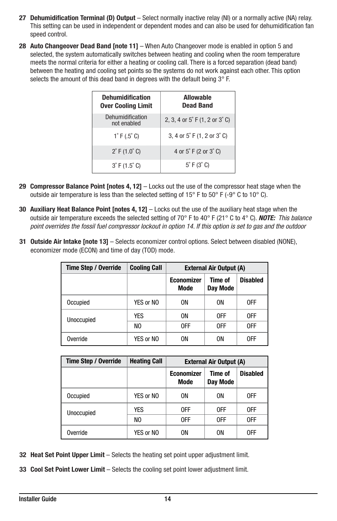- 27 Dehumidification Terminal (D) Output Select normally inactive relay (NI) or a normally active (NA) relay. This setting can be used in independent or dependent modes and can also be used for dehumidification fan speed control.
- 28 Auto Changeover Dead Band [note 11] When Auto Changeover mode is enabled in option 5 and selected, the system automatically switches between heating and cooling when the room temperature meets the normal criteria for either a heating or cooling call. There is a forced separation (dead band) between the heating and cooling set points so the systems do not work against each other. This option selects the amount of this dead band in degrees with the default being  $3^\circ$  F.

| <b>Dehumidification</b><br><b>Over Cooling Limit</b> | <b>Allowable</b><br><b>Dead Band</b> |  |  |
|------------------------------------------------------|--------------------------------------|--|--|
| Dehumidification<br>not enabled                      | 2, 3, 4 or 5°F (1, 2 or 3°C)         |  |  |
| $1^{\circ}$ F (.5 $^{\circ}$ C)                      | 3, 4 or 5°F (1, 2 or 3°C)            |  |  |
| $2^{\circ}$ F (1.0 $^{\circ}$ C)                     | 4 or 5°F (2 or 3°C)                  |  |  |
| $3^{\circ}$ F (1.5 $^{\circ}$ C)                     | $5^\circ$ F (3 $^\circ$ C)           |  |  |

- 29 Compressor Balance Point [notes 4,  $12$ ]  $-$  Locks out the use of the compressor heat stage when the outside air temperature is less than the selected setting of 15° F to 50° F (-9° C to 10° C).
- 30 Auxiliary Heat Balance Point [notes 4, 12] Locks out the use of the auxiliary heat stage when the outside air temperature exceeds the selected setting of 70° F to 40° F (21° C to 4° C). *NOTE: This balance point overrides the fossil fuel compressor lockout in option 14. If this option is set to gas and the outdoor*
- 31 Outside Air Intake [note 13] Selects economizer control options. Select between disabled (NONE), economizer mode (ECON) and time of day (TOD) mode.

| <b>Time Step / Override</b> | <b>Cooling Call</b> | <b>External Air Output (A)</b> |                     |                 |  |
|-----------------------------|---------------------|--------------------------------|---------------------|-----------------|--|
|                             |                     | <b>Economizer</b><br>Mode      | Time of<br>Day Mode | <b>Disabled</b> |  |
| Occupied                    | YES or NO           | 0N                             | 0N                  | 0FF             |  |
| Unoccupied                  | YES                 | 0N                             | 0FF                 | 0FF             |  |
|                             | NO.                 | 0FF                            | 0FF                 | 0FF             |  |
| Override                    | YES or NO           | 0N                             | 0N                  | 0FF             |  |

| <b>Time Step / Override</b> | <b>Heating Call</b> | <b>External Air Output (A)</b> |                     |                 |  |
|-----------------------------|---------------------|--------------------------------|---------------------|-----------------|--|
|                             |                     | <b>Economizer</b><br>Mode      | Time of<br>Day Mode | <b>Disabled</b> |  |
| Occupied                    | YES or NO           | 0N                             | 0N                  | 0FF             |  |
| Unoccupied                  | <b>YES</b>          | 0FF                            | 0FF                 | 0FF             |  |
|                             | NO.                 | 0FF                            | 0FF                 | 0FF             |  |
| Override                    | YES or NO           | 0N                             | 0N                  | 0FF             |  |

- 32 Heat Set Point Upper Limit Selects the heating set point upper adjustment limit.
- 33 Cool Set Point Lower Limit Selects the cooling set point lower adjustment limit.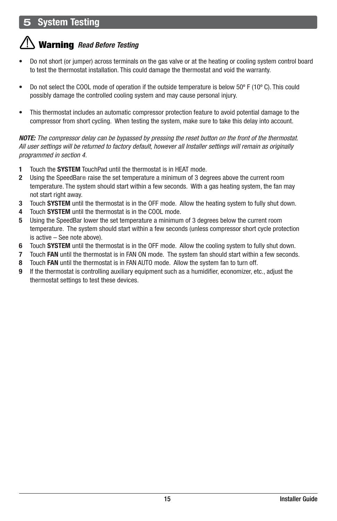## 5 System Testing

## Warning *Read Before Testing*

- Do not short (or jumper) across terminals on the gas valve or at the heating or cooling system control board to test the thermostat installation. This could damage the thermostat and void the warranty.
- Do not select the COOL mode of operation if the outside temperature is below 50º F (10º C). This could possibly damage the controlled cooling system and may cause personal injury.
- This thermostat includes an automatic compressor protection feature to avoid potential damage to the compressor from short cycling. When testing the system, make sure to take this delay into account.

*NOTE: The compressor delay can be bypassed by pressing the reset button on the front of the thermostat. All user settings will be returned to factory default, however all Installer settings will remain as originally programmed in section 4.*

- 1 Touch the **SYSTEM** TouchPad until the thermostat is in HEAT mode.
- 2 Using the SpeedBar® raise the set temperature a minimum of 3 degrees above the current room temperature. The system should start within a few seconds. With a gas heating system, the fan may not start right away.
- 3 Touch SYSTEM until the thermostat is in the OFF mode. Allow the heating system to fully shut down.
- 4 Touch SYSTEM until the thermostat is in the COOL mode.
- 5 Using the SpeedBar lower the set temperature a minimum of 3 degrees below the current room temperature. The system should start within a few seconds (unless compressor short cycle protection is active – See note above).
- 6 Touch SYSTEM until the thermostat is in the OFF mode. Allow the cooling system to fully shut down.
- 7 Touch FAN until the thermostat is in FAN ON mode. The system fan should start within a few seconds.
- 8 Touch FAN until the thermostat is in FAN AUTO mode. Allow the system fan to turn off.
- 9 If the thermostat is controlling auxiliary equipment such as a humidifier, economizer, etc., adjust the thermostat settings to test these devices.